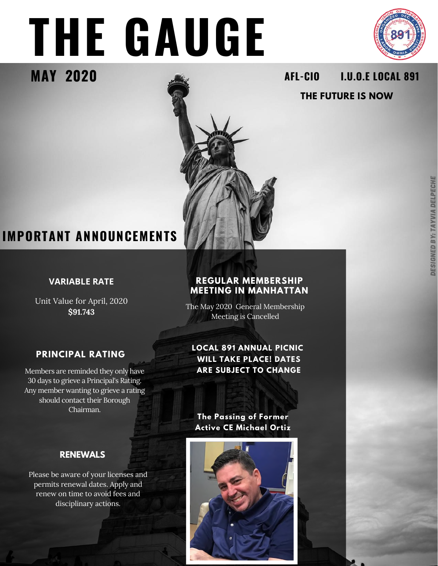# **THE GAUGE**



#### **MAY 2020 I.U.O.E LOCAL 891 AFL-CIO THE FUTURE IS NOW**

## **IMPORTANT ANNOUNCEMENTS**

#### **VARIABLE RATE**

Unit Value for April, 2020 **\$91.743**

## **PRINCIPAL RATING**

Members are reminded they only have 30 days to grieve a Principal's Rating. Any member wanting to grieve a rating should contact their Borough Chairman.

#### **RENEWALS**

Please be aware of your licenses and permits renewal dates. Apply and renew on time to avoid fees and disciplinary actions.

#### **REGULAR MEMBERSHIP MEETING IN MANHATTAN**

The May 2020 General Membership Meeting is Cancelled

#### **LOCAL 891 ANNUAL PICNIC WILL TAKE PLACE! DATES ARE SUBJECT TO CHANGE**

**The Passing of Former Active CE Michael Ortiz**

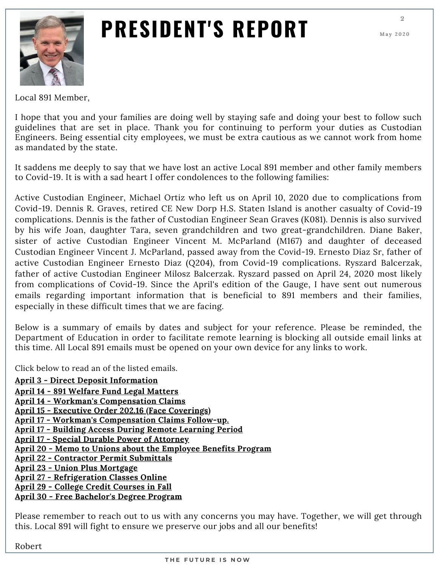

## **PRESIDENT'S REPORT**

**2**

Local 891 Member,

I hope that you and your families are doing well by staying safe and doing your best to follow such guidelines that are set in place. Thank you for continuing to perform your duties as Custodian Engineers. Being essential city employees, we must be extra cautious as we cannot work from home as mandated by the state.

It saddens me deeply to say that we have lost an active Local 891 member and other family members to Covid-19. It is with a sad heart I offer condolences to the following families:

Active Custodian Engineer, Michael Ortiz who left us on April 10, 2020 due to complications from Covid-19. Dennis R. Graves, retired CE New Dorp H.S. Staten Island is another casualty of Covid-19 complications. Dennis is the father of Custodian Engineer Sean Graves (K081). Dennis is also survived by his wife Joan, daughter Tara, seven grandchildren and two great-grandchildren. Diane Baker, sister of active Custodian Engineer Vincent M. McParland (M167) and daughter of deceased Custodian Engineer Vincent J. McParland, passed away from the Covid-19. Ernesto Diaz Sr, father of active Custodian Engineer Ernesto Diaz (Q204), from Covid-19 complications. Ryszard Balcerzak, father of active Custodian Engineer Milosz Balcerzak. Ryszard passed on April 24, 2020 most likely from complications of Covid-19. Since the April's edition of the Gauge, I have sent out numerous emails regarding important information that is beneficial to 891 members and their families, especially in these difficult times that we are facing.

Below is a summary of emails by dates and subject for your reference. Please be reminded, the Department of Education in order to facilitate remote learning is blocking all outside email links at this time. All Local 891 emails must be opened on your own device for any links to work.

Click below to read an of the listed emails.

**April 3 - Direct Deposit [Information](https://myemail.constantcontact.com/Direct-Deposit-Information.html?soid=1124028352516&aid=kki29pcQipQ) April 14 - 891 Welfare Fund Legal [Matters](https://myemail.constantcontact.com/Local-891-Welfare-Fund-Legal-Matters.html?soid=1124028352516&aid=PvreLCSBWfg) April 14 - Workman's [Compensation](https://myemail.constantcontact.com/Workman-s-Compensation-Claims.html?soid=1124028352516&aid=-PU80XHBMrc) Claims April 15 - Executive Order 202.16 (Face [Coverings\)](https://myemail.constantcontact.com/Executive-Order-202-16--Face-Coverings-.html?soid=1124028352516&aid=bdPg8jTamDM) April 17 - Workman's [Compensation](https://myemail.constantcontact.com/Workman-s-Compensation-Claims-Follow-Up.html?soid=1124028352516&aid=2Tphtxg-o5c) Claims Follow-up. April 17 - Building Access During Remote [Learning](https://myemail.constantcontact.com/Building-Access-During-the-Remote-learning-Period.html?soid=1124028352516&aid=67RRWMAtsAc) Period April 17 - Special Durable Power of [Attorney](https://myemail.constantcontact.com/Special-Durable-Power-of-Attorney.html?soid=1124028352516&aid=vqdCtN4i-s4) April 20 - Memo to Unions about the [Employee](https://myemail.constantcontact.com/Memo-to-Unions-about-the-Employee-Benefit-Program.html?soid=1124028352516&aid=MFro8oNjG0Q) Benefits Program April 22 - [Contractor](https://myemail.constantcontact.com/Contactor-Permit-Submittals.html?soid=1124028352516&aid=JWNj2gbG8C8) Permit Submittals April 23 - Union Plus [Mortgage](https://myemail.constantcontact.com/Union-Plus-Mortgage-Benefits.html?soid=1124028352516&aid=T78-1JhybKA) April 27 - [Refrigeration](https://myemail.constantcontact.com/Refrigeration-Classes-continue-online.html?soid=1124028352516&aid=B4N66c8a79I) Classes Online April 29 - College Credit [Courses](https://myemail.constantcontact.com/Local-891-to-host-College-Credit-Courses-this-Fall.html?soid=1124028352516&aid=_ITLUBfXiX0) in Fall April 30 - Free [Bachelor's](https://myemail.constantcontact.com/Free-Bachelor-s-Degree-Programs.html?soid=1124028352516&aid=m9uxVqZ2WHs) Degree Program**

Please remember to reach out to us with any concerns you may have. Together, we will get through this. Local 891 will fight to ensure we preserve our jobs and all our benefits!

Robert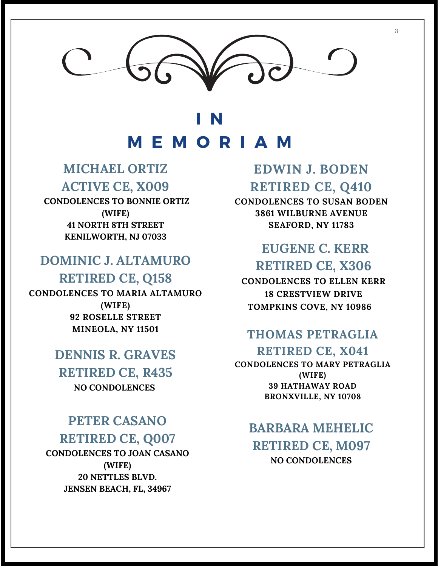## **I N M E M O R I A M**

### **MICHAEL ORTIZ ACTIVE CE, X009**

**CONDOLENCES TO BONNIE ORTIZ (WIFE) 41 NORTH 8TH STREET KENILWORTH, NJ 07033**

### **DOMINIC J. ALTAMURO RETIRED CE, Q158**

**CONDOLENCES TO MARIA ALTAMURO (WIFE) 92 ROSELLE STREET MINEOLA, NY 11501**

## **DENNIS R. GRAVES**

**RETIRED CE, R435 NO CONDOLENCES**

### **PETER CASANO RETIRED CE, Q007**

**CONDOLENCES TO JOAN CASANO (WIFE) 20 NETTLES BLVD. JENSEN BEACH, FL, 34967**

## **EDWIN J. BODEN RETIRED CE, Q410**

**CONDOLENCES TO SUSAN BODEN 3861 WILBURNE AVENUE SEAFORD, NY 11783**

## **EUGENE C. KERR RETIRED CE, X306**

**CONDOLENCES TO ELLEN KERR 18 CRESTVIEW DRIVE TOMPKINS COVE, NY 10986**

### **THOMAS PETRAGLIA RETIRED CE, X041**

**CONDOLENCES TO MARY PETRAGLIA (WIFE) 39 HATHAWAY ROAD BRONXVILLE, NY 10708**

### **BARBARA MEHELIC RETIRED CE, M097 NO CONDOLENCES**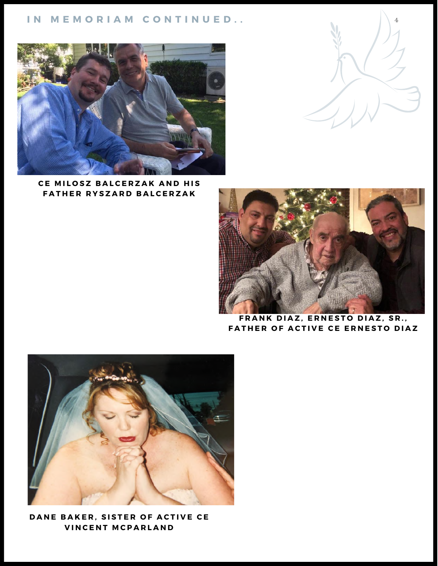#### **I N M E M O R I A M C O N T I N U E D . .**



**C E M I L O S Z B A L C E R Z A K A N D H IS**  $F$  **ATHER RYSZARD BALCERZAK** 



**4**

**F R A N K D IA Z ,E R N E S T O D IA Z , S R . ,** FATHER OF ACTIVE CE ERNESTO DIAZ



DANE BAKER, SISTER OF ACTIVE CE **V IN C E N T M C P A R L A N D**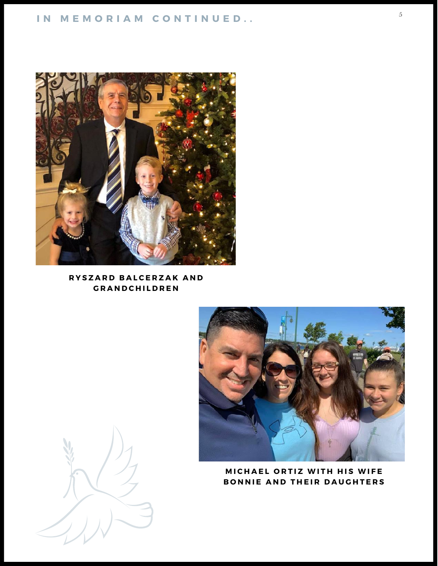#### **I N M E M O R I A M C O N T I N U E D . .**



#### $R$  **YSZARD BALCERZAK AND G R A N D C H IL D R E N**



#### **MICHAEL ORTIZ WITH HIS WIFE BONNIE AND THEIR DAUGHTERS**

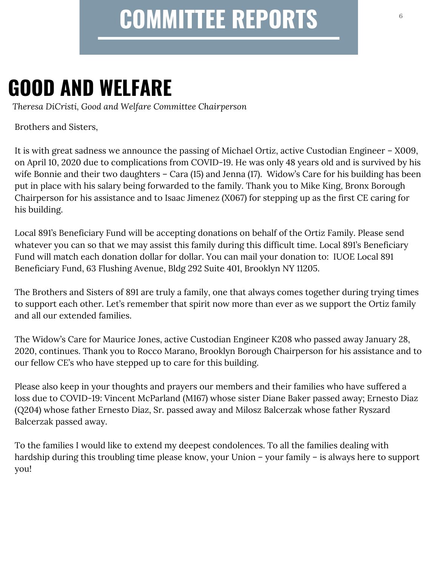## **COMMITTEE REPORTS**

## **GOOD AND WELFARE**

*Theresa DiCristi, Good and Welfare Committee Chairperson*

Brothers and Sisters,

It is with great sadness we announce the passing of Michael Ortiz, active Custodian Engineer – X009, on April 10, 2020 due to complications from COVID-19. He was only 48 years old and is survived by his wife Bonnie and their two daughters – Cara (15) and Jenna (17). Widow's Care for his building has been put in place with his salary being forwarded to the family. Thank you to Mike King, Bronx Borough Chairperson for his assistance and to Isaac Jimenez (X067) for stepping up as the first CE caring for his building.

Local 891's Beneficiary Fund will be accepting donations on behalf of the Ortiz Family. Please send whatever you can so that we may assist this family during this difficult time. Local 891's Beneficiary Fund will match each donation dollar for dollar. You can mail your donation to: IUOE Local 891 Beneficiary Fund, 63 Flushing Avenue, Bldg 292 Suite 401, Brooklyn NY 11205.

The Brothers and Sisters of 891 are truly a family, one that always comes together during trying times to support each other. Let's remember that spirit now more than ever as we support the Ortiz family and all our extended families.

The Widow's Care for Maurice Jones, active Custodian Engineer K208 who passed away January 28, 2020, continues. Thank you to Rocco Marano, Brooklyn Borough Chairperson for his assistance and to our fellow CE's who have stepped up to care for this building.

Please also keep in your thoughts and prayers our members and their families who have suffered a loss due to COVID-19: Vincent McParland (M167) whose sister Diane Baker passed away; Ernesto Diaz (Q204) whose father Ernesto Diaz, Sr. passed away and Milosz Balcerzak whose father Ryszard Balcerzak passed away.

To the families I would like to extend my deepest condolences. To all the families dealing with hardship during this troubling time please know, your Union – your family – is always here to support you!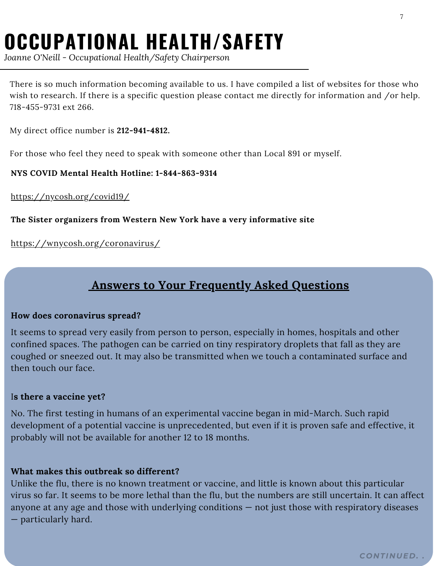## **OCCUPATIONAL HEALTH/SAFETY**

*Joanne O'Neill - Occupational Health/Safety Chairperson*

There is so much information becoming available to us. I have compiled a list of websites for those who wish to research. If there is a specific question please contact me directly for information and /or help. 718-455-9731 ext 266.

My direct office number is **212-941-4812.**

For those who feel they need to speak with someone other than Local 891 or myself.

**NYS COVID Mental Health Hotline: 1-844-863-9314**

<https://nycosh.org/covid19/>

#### **The Sister organizers from Western New York have a very informative site**

<https://wnycosh.org/coronavirus/>

### **Answers to Your Frequently Asked Questions**

#### **How does coronavirus spread?**

It seems to spread very easily from person to person, especially in homes, hospitals and other confined spaces. The pathogen can be carried on tiny respiratory droplets that fall as they are coughed or sneezed out. It may also be transmitted when we touch a contaminated surface and then touch our face.

#### I**s there a vaccine yet?**

No. The first testing in humans of an experimental vaccine began in mid-March. Such rapid development of a potential vaccine is unprecedented, but even if it is proven safe and effective, it probably will not be available for another 12 to 18 months.

#### **What makes this outbreak so different?**

Unlike the flu, there is no known treatment or vaccine, and little is known about this particular virus so far. It seems to be more lethal than the flu, but the numbers are still uncertain. It can affect anyone at any age and those with underlying conditions — not just those with respiratory diseases — particularly hard.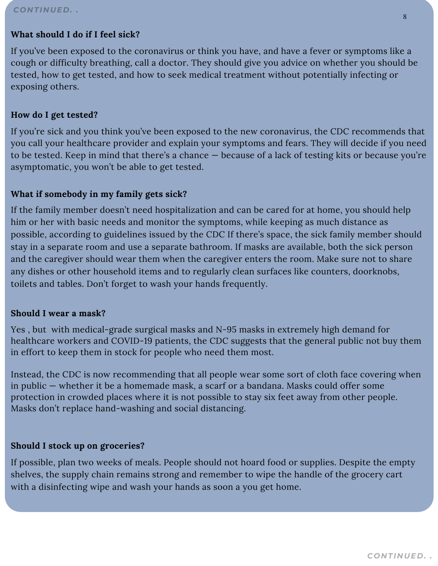#### *CONTINUED. .*

#### **What should I do if I feel sick?**

If you've been exposed to the coronavirus or think you have, and have a fever or symptoms like a cough or difficulty breathing, call a doctor. They should give you advice on whether you should be tested, how to get tested, and how to seek medical treatment without potentially infecting or exposing others.

#### **How do I get tested?**

If you're sick and you think you've been exposed to the new coronavirus, the CDC recommends that you call your healthcare provider and explain your symptoms and fears. They will decide if you need to be tested. Keep in mind that there's a chance — because of a lack of testing kits or because you're asymptomatic, you won't be able to get tested.

#### **What if somebody in my family gets sick?**

If the family member doesn't need hospitalization and can be cared for at home, you should help him or her with basic needs and monitor the symptoms, while keeping as much distance as possible, according to guidelines issued by the CDC If there's space, the sick family member should stay in a separate room and use a separate bathroom. If masks are available, both the sick person and the caregiver should wear them when the caregiver enters the room. Make sure not to share any dishes or other household items and to regularly clean surfaces like counters, doorknobs, toilets and tables. Don't forget to wash your hands frequently.

#### **Should I wear a mask?**

Yes , but with medical-grade surgical masks and N-95 masks in extremely high demand for healthcare workers and COVID-19 patients, the CDC suggests that the general public not buy them in effort to keep them in stock for people who need them most.

Instead, the CDC is now recommending that all people wear some sort of cloth face covering when in public — whether it be a homemade mask, a scarf or a bandana. Masks could offer some protection in crowded places where it is not possible to stay six feet away from other people. Masks don't replace hand-washing and social distancing.

#### **Should I stock up on groceries?**

If possible, plan two weeks of meals. People should not hoard food or supplies. Despite the empty shelves, the supply chain remains strong and remember to wipe the handle of the grocery cart with a disinfecting wipe and wash your hands as soon a you get home.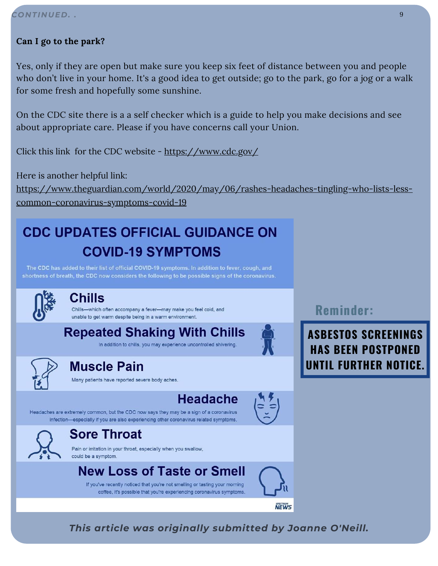#### **Can I go to the park?**

Yes, only if they are open but make sure you keep six feet of distance between you and people who don't live in your home. It's a good idea to get outside; go to the park, go for a jog or a walk for some fresh and hopefully some sunshine.

On the CDC site there is a a self checker which is a guide to help you make decisions and see about appropriate care. Please if you have concerns call your Union.

Click this link for the CDC website - <https://www.cdc.gov/>

Here is another helpful link: [https://www.theguardian.com/world/2020/may/06/rashes-headaches-tingling-who-lists-less](https://www.theguardian.com/world/2020/may/06/rashes-headaches-tingling-who-lists-less-common-coronavirus-symptoms-covid-19)common-coronavirus-symptoms-covid-19

## **CDC UPDATES OFFICIAL GUIDANCE ON COVID-19 SYMPTOMS**

The CDC has added to their list of official COVID-19 symptoms. In addition to fever, cough, and shortness of breath, the CDC now considers the following to be possible signs of the coronavirus.



#### Chills

-which often accompany a fever-may make you feel cold, and unable to get warm despite being in a warm environment.

**Repeated Shaking With Chills** 

In addition to chills, you may experience uncontrolled shivering.

### **Muscle Pain**

Many patients have reported severe body aches.

## **Headache**

Headaches are extremely common, but the CDC now says they may be a sign of a coronavirus infection-especially if you are also experiencing other coronavirus related symptoms.



### **Sore Throat**

Pain or irritation in your throat, especially when you swallow, could be a symptom.

## **New Loss of Taste or Smell**

If you've recently noticed that you're not smelling or tasting your morning coffee, it's possible that you're experiencing coronavirus symptoms. **Reminder:**

**ASBESTOS SCREENINGS HAS BEEN POSTPONED UNTIL FURTHER NOTICE.**

*This article was originally submitted by Joanne O'Neill.*

**NEWS**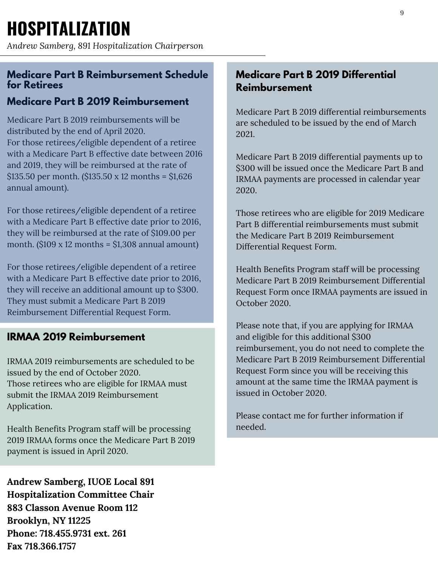*Andrew Samberg, 891 Hospitalization Chairperson*

#### **Medicare Part B Reimbursement Schedule for Retirees**

#### **Medicare Part B 2019 Reimbursement**

Medicare Part B 2019 reimbursements will be distributed by the end of April 2020. For those retirees/eligible dependent of a retiree with a Medicare Part B effective date between 2016 and 2019, they will be reimbursed at the rate of  $$135.50$  per month. ( $$135.50 \times 12$  months =  $$1,626$ annual amount).

For those retirees/eligible dependent of a retiree with a Medicare Part B effective date prior to 2016, they will be reimbursed at the rate of \$109.00 per month.  $(\$109 \times 12 \text{ months} = \$1,308 \text{ annual amount})$ 

For those retirees/eligible dependent of a retiree with a Medicare Part B effective date prior to 2016, they will receive an additional amount up to \$300. They must submit a Medicare Part B 2019 Reimbursement Differential Request Form.

#### **IRMAA 2019 Reimbursement**

IRMAA 2019 reimbursements are scheduled to be issued by the end of October 2020. Those retirees who are eligible for IRMAA must submit the IRMAA 2019 Reimbursement Application.

Health Benefits Program staff will be processing 2019 IRMAA forms once the Medicare Part B 2019 payment is issued in April 2020.

**Andrew Samberg, IUOE Local 891 Hospitalization Committee Chair 883 Classon Avenue Room 112 Brooklyn, NY 11225 Phone: 718.455.9731 ext. 261 Fax 718.366.1757**

#### **Medicare Part B 2019 Differential Reimbursement**

Medicare Part B 2019 differential reimbursements are scheduled to be issued by the end of March 2021.

Medicare Part B 2019 differential payments up to \$300 will be issued once the Medicare Part B and IRMAA payments are processed in calendar year 2020.

Those retirees who are eligible for 2019 Medicare Part B differential reimbursements must submit the Medicare Part B 2019 Reimbursement Differential Request Form.

Health Benefits Program staff will be processing Medicare Part B 2019 Reimbursement Differential Request Form once IRMAA payments are issued in October 2020.

Please note that, if you are applying for IRMAA and eligible for this additional \$300 reimbursement, you do not need to complete the Medicare Part B 2019 Reimbursement Differential Request Form since you will be receiving this amount at the same time the IRMAA payment is issued in October 2020.

Please contact me for further information if needed.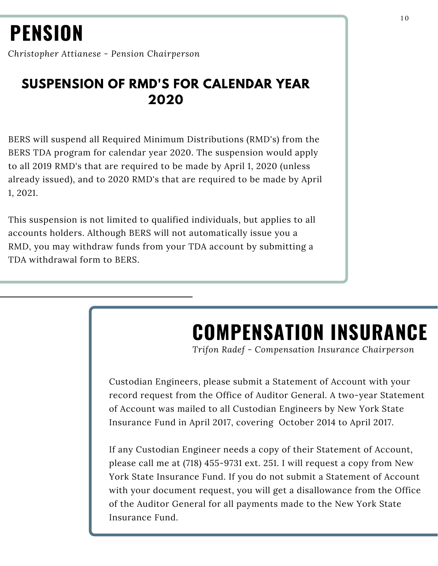## **PENSION**

*Christopher Attianese - Pension Chairperson*

## **SUSPENSION OF RMD'S FOR CALENDAR YEAR 2020**

BERS will suspend all Required Minimum Distributions (RMD's) from the BERS TDA program for calendar year 2020. The suspension would apply to all 2019 RMD's that are required to be made by April 1, 2020 (unless already issued), and to 2020 RMD's that are required to be made by April 1, 2021.

This suspension is not limited to qualified individuals, but applies to all accounts holders. Although BERS will not automatically issue you a RMD, you may withdraw funds from your TDA account by submitting a TDA withdrawal form to BERS.

## **COMPENSATION INSURANCE**

*Trifon Radef - Compensation Insurance Chairperson*

Custodian Engineers, please submit a Statement of Account with your record request from the Office of Auditor General. A two-year Statement of Account was mailed to all Custodian Engineers by New York State Insurance Fund in April 2017, covering October 2014 to April 2017.

If any Custodian Engineer needs a copy of their Statement of Account, please call me at (718) 455-9731 ext. 251. I will request a copy from New York State Insurance Fund. If you do not submit a Statement of Account with your document request, you will get a disallowance from the Office of the Auditor General for all payments made to the New York State Insurance Fund.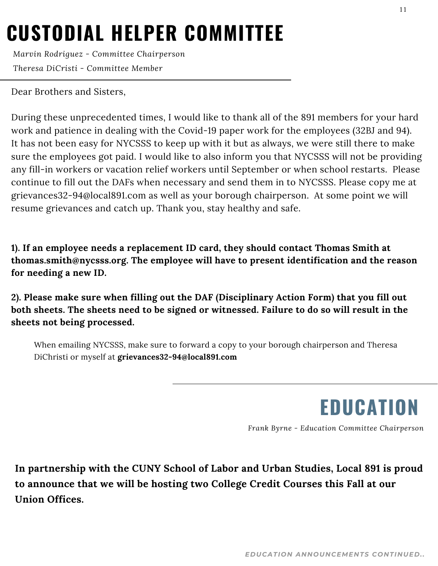## **CUSTODIAL HELPER COMMITTEE**

*Marvin Rodriguez - Committee Chairperson Theresa DiCristi - Committee Member*

Dear Brothers and Sisters,

During these unprecedented times, I would like to thank all of the 891 members for your hard work and patience in dealing with the Covid-19 paper work for the employees (32BJ and 94). It has not been easy for NYCSSS to keep up with it but as always, we were still there to make sure the employees got paid. I would like to also inform you that NYCSSS will not be providing any fill-in workers or vacation relief workers until September or when school restarts. Please continue to fill out the DAFs when necessary and send them in to NYCSSS. Please copy me at grievances32-94@local891.com as well as your borough chairperson. At some point we will resume grievances and catch up. Thank you, stay healthy and safe.

**1). If an employee needs a replacement ID card, they should contact Thomas Smith at thomas.smith@nycsss.org. The employee will have to present identification and the reason for needing a new ID.**

**2). Please make sure when filling out the DAF (Disciplinary Action Form) that you fill out both sheets. The sheets need to be signed or witnessed. Failure to do so will result in the sheets not being processed.**

When emailing NYCSSS, make sure to forward a copy to your borough chairperson and Theresa DiChristi or myself at **grievances32-94@local891.com**

**EDUCATION**

*Frank Byrne - Education Committee Chairperson*

**In partnership with the CUNY School of Labor and Urban Studies, Local 891 is proud to announce that we will be hosting two College Credit Courses this Fall at our Union Offices.**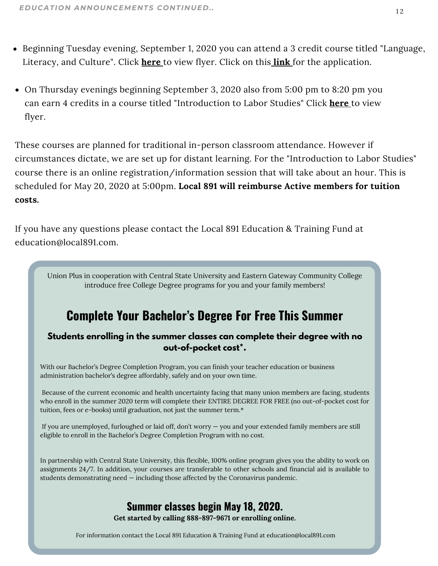- Beginning Tuesday evening, September 1, 2020 you can attend a 3 credit course titled "Language, Literacy, and Culture". Click **[here](https://files.constantcontact.com/4088f45b501/ffa3c3da-648e-4d99-b212-8e27105a9927.pdf)** to view flyer. Click on this **[link](https://forms.office.com/Pages/ResponsePage.aspx?id=s_BgbwZfCU6XFZiduozH2LvQDiyj77FBnP8ddYsxT4BUOUE3NEpGRTVHMjJMTUIzQTk3TEMwSjZOOC4u)** for the [application.](https://forms.office.com/Pages/ResponsePage.aspx?id=s_BgbwZfCU6XFZiduozH2LvQDiyj77FBnP8ddYsxT4BUOUE3NEpGRTVHMjJMTUIzQTk3TEMwSjZOOC4u)
- On Thursday evenings beginning September 3, 2020 also from 5:00 pm to 8:20 pm you can earn 4 credits in a course titled "Introduction to Labor Studies" Click **[here](https://files.constantcontact.com/4088f45b501/27be6b24-ba73-432b-a0a7-63926f6f1ef2.pdf)** to view flyer.

These courses are planned for traditional in-person classroom attendance. However if circumstances dictate, we are set up for distant learning. For the "Introduction to Labor Studies" course there is an online registration/information session that will take about an hour. This is scheduled for May 20, 2020 at 5:00pm. **Local 891 will reimburse Active members for tuition costs.**

If you have any questions please contact the Local 891 Education & Training Fund at education@local891.com.

Union Plus in cooperation with Central State University and Eastern Gateway Community College introduce free College Degree programs for you and your family members!

### **Complete Your Bachelor's Degree For Free This Summer**

#### **Students enrolling in the summer classes can complete their degree with no out-of-pocket cost\*.**

With our Bachelor's Degree Completion Program, you can finish your teacher education or business administration bachelor's degree affordably, safely and on your own time.

Because of the current economic and health uncertainty facing that many union members are facing, students who enroll in the summer 2020 term will complete their ENTIRE DEGREE FOR FREE (no out-of-pocket cost for tuition, fees or e-books) until graduation, not just the summer term.\*

If you are unemployed, furloughed or laid off, don't worry — you and your extended family members are still eligible to enroll in the Bachelor's Degree Completion Program with no cost.

In partnership with Central State University, this flexible, 100% online program gives you the ability to work on assignments 24/7. In addition, your courses are transferable to other schools and financial aid is available to students demonstrating need — including those affected by the Coronavirus pandemic.

#### **Summer classes begin May 18, 2020.**

**Get started by calling 888-897-9671 or enrolling online.**

For information contact the Local 891 Education & Training Fund at education@local891.com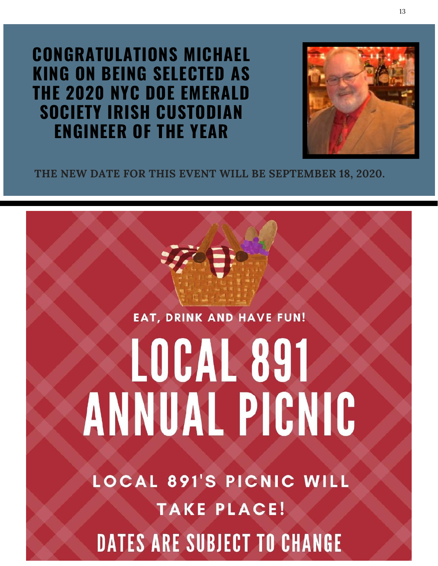**CONGRATULATIONS MICHAEL KING ON BEING SELECTED AS THE 2020 NYC DOE EMERALD SOCIETY IRISH CUSTODIAN ENGINEER OF THE YEAR**



**THE NEW DATE FOR THIS EVENT WILL BE SEPTEMBER 18, 2020.**

## **EAT, DRINK AND HAVE FUN!**

# LOCAL 891 **ANNUAL PICNIC**

**LOCAL 891'S PICNIC WILL TAKE PLACE! DATES ARE SUBJECT TO CHANGE**